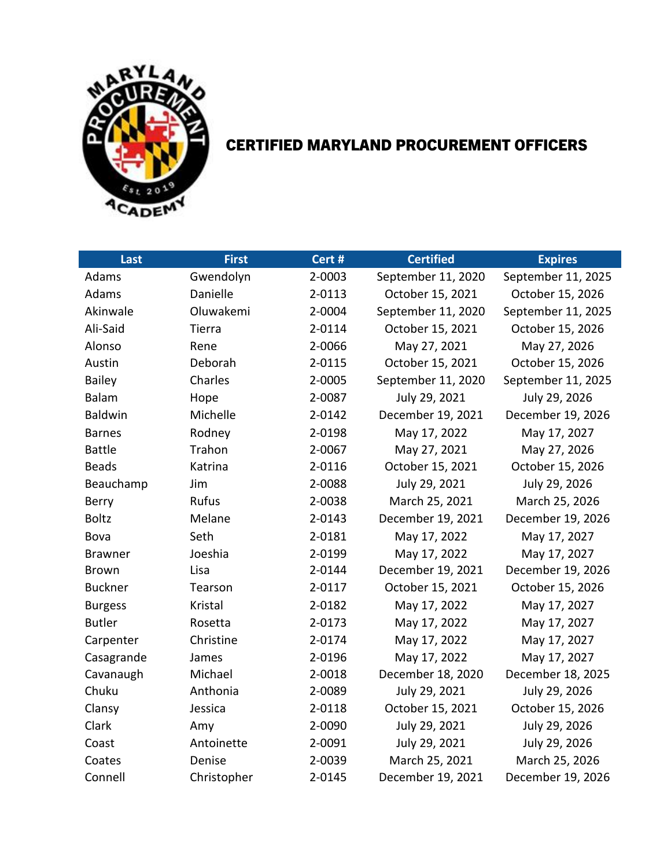

## CERTIFIED MARYLAND PROCUREMENT OFFICERS

| Last           | <b>First</b> | Cert # | <b>Certified</b>   | <b>Expires</b>     |
|----------------|--------------|--------|--------------------|--------------------|
| Adams          | Gwendolyn    | 2-0003 | September 11, 2020 | September 11, 2025 |
| Adams          | Danielle     | 2-0113 | October 15, 2021   | October 15, 2026   |
| Akinwale       | Oluwakemi    | 2-0004 | September 11, 2020 | September 11, 2025 |
| Ali-Said       | Tierra       | 2-0114 | October 15, 2021   | October 15, 2026   |
| Alonso         | Rene         | 2-0066 | May 27, 2021       | May 27, 2026       |
| Austin         | Deborah      | 2-0115 | October 15, 2021   | October 15, 2026   |
| <b>Bailey</b>  | Charles      | 2-0005 | September 11, 2020 | September 11, 2025 |
| Balam          | Hope         | 2-0087 | July 29, 2021      | July 29, 2026      |
| <b>Baldwin</b> | Michelle     | 2-0142 | December 19, 2021  | December 19, 2026  |
| <b>Barnes</b>  | Rodney       | 2-0198 | May 17, 2022       | May 17, 2027       |
| <b>Battle</b>  | Trahon       | 2-0067 | May 27, 2021       | May 27, 2026       |
| <b>Beads</b>   | Katrina      | 2-0116 | October 15, 2021   | October 15, 2026   |
| Beauchamp      | Jim          | 2-0088 | July 29, 2021      | July 29, 2026      |
| Berry          | Rufus        | 2-0038 | March 25, 2021     | March 25, 2026     |
| <b>Boltz</b>   | Melane       | 2-0143 | December 19, 2021  | December 19, 2026  |
| Bova           | Seth         | 2-0181 | May 17, 2022       | May 17, 2027       |
| <b>Brawner</b> | Joeshia      | 2-0199 | May 17, 2022       | May 17, 2027       |
| <b>Brown</b>   | Lisa         | 2-0144 | December 19, 2021  | December 19, 2026  |
| <b>Buckner</b> | Tearson      | 2-0117 | October 15, 2021   | October 15, 2026   |
| <b>Burgess</b> | Kristal      | 2-0182 | May 17, 2022       | May 17, 2027       |
| <b>Butler</b>  | Rosetta      | 2-0173 | May 17, 2022       | May 17, 2027       |
| Carpenter      | Christine    | 2-0174 | May 17, 2022       | May 17, 2027       |
| Casagrande     | James        | 2-0196 | May 17, 2022       | May 17, 2027       |
| Cavanaugh      | Michael      | 2-0018 | December 18, 2020  | December 18, 2025  |
| Chuku          | Anthonia     | 2-0089 | July 29, 2021      | July 29, 2026      |
| Clansy         | Jessica      | 2-0118 | October 15, 2021   | October 15, 2026   |
| Clark          | Amy          | 2-0090 | July 29, 2021      | July 29, 2026      |
| Coast          | Antoinette   | 2-0091 | July 29, 2021      | July 29, 2026      |
| Coates         | Denise       | 2-0039 | March 25, 2021     | March 25, 2026     |
| Connell        | Christopher  | 2-0145 | December 19, 2021  | December 19, 2026  |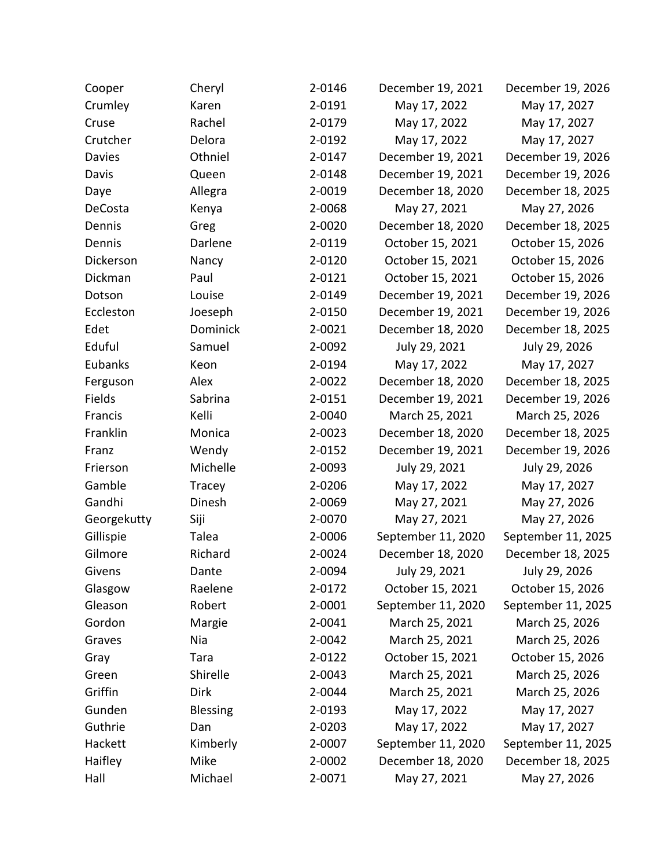| Cooper      | Cheryl          | 2-0146 | December 19, 2021  | December 19, 2026  |
|-------------|-----------------|--------|--------------------|--------------------|
| Crumley     | Karen           | 2-0191 | May 17, 2022       | May 17, 2027       |
| Cruse       | Rachel          | 2-0179 | May 17, 2022       | May 17, 2027       |
| Crutcher    | Delora          | 2-0192 | May 17, 2022       | May 17, 2027       |
| Davies      | Othniel         | 2-0147 | December 19, 2021  | December 19, 2026  |
| Davis       | Queen           | 2-0148 | December 19, 2021  | December 19, 2026  |
| Daye        | Allegra         | 2-0019 | December 18, 2020  | December 18, 2025  |
| DeCosta     | Kenya           | 2-0068 | May 27, 2021       | May 27, 2026       |
| Dennis      | Greg            | 2-0020 | December 18, 2020  | December 18, 2025  |
| Dennis      | Darlene         | 2-0119 | October 15, 2021   | October 15, 2026   |
| Dickerson   | Nancy           | 2-0120 | October 15, 2021   | October 15, 2026   |
| Dickman     | Paul            | 2-0121 | October 15, 2021   | October 15, 2026   |
| Dotson      | Louise          | 2-0149 | December 19, 2021  | December 19, 2026  |
| Eccleston   | Joeseph         | 2-0150 | December 19, 2021  | December 19, 2026  |
| Edet        | Dominick        | 2-0021 | December 18, 2020  | December 18, 2025  |
| Eduful      | Samuel          | 2-0092 | July 29, 2021      | July 29, 2026      |
| Eubanks     | Keon            | 2-0194 | May 17, 2022       | May 17, 2027       |
| Ferguson    | Alex            | 2-0022 | December 18, 2020  | December 18, 2025  |
| Fields      | Sabrina         | 2-0151 | December 19, 2021  | December 19, 2026  |
| Francis     | Kelli           | 2-0040 | March 25, 2021     | March 25, 2026     |
| Franklin    | Monica          | 2-0023 | December 18, 2020  | December 18, 2025  |
| Franz       | Wendy           | 2-0152 | December 19, 2021  | December 19, 2026  |
| Frierson    | Michelle        | 2-0093 | July 29, 2021      | July 29, 2026      |
| Gamble      | Tracey          | 2-0206 | May 17, 2022       | May 17, 2027       |
| Gandhi      | Dinesh          | 2-0069 | May 27, 2021       | May 27, 2026       |
| Georgekutty | Siji            | 2-0070 | May 27, 2021       | May 27, 2026       |
| Gillispie   | Talea           | 2-0006 | September 11, 2020 | September 11, 2025 |
| Gilmore     | Richard         | 2-0024 | December 18, 2020  | December 18, 2025  |
| Givens      | Dante           | 2-0094 | July 29, 2021      | July 29, 2026      |
| Glasgow     | Raelene         | 2-0172 | October 15, 2021   | October 15, 2026   |
| Gleason     | Robert          | 2-0001 | September 11, 2020 | September 11, 2025 |
| Gordon      | Margie          | 2-0041 | March 25, 2021     | March 25, 2026     |
| Graves      | Nia             | 2-0042 | March 25, 2021     | March 25, 2026     |
| Gray        | Tara            | 2-0122 | October 15, 2021   | October 15, 2026   |
| Green       | Shirelle        | 2-0043 | March 25, 2021     | March 25, 2026     |
| Griffin     | <b>Dirk</b>     | 2-0044 | March 25, 2021     | March 25, 2026     |
| Gunden      | <b>Blessing</b> | 2-0193 | May 17, 2022       | May 17, 2027       |
| Guthrie     | Dan             | 2-0203 | May 17, 2022       | May 17, 2027       |
| Hackett     | Kimberly        | 2-0007 | September 11, 2020 | September 11, 2025 |
| Haifley     | Mike            | 2-0002 | December 18, 2020  | December 18, 2025  |
| Hall        | Michael         | 2-0071 | May 27, 2021       | May 27, 2026       |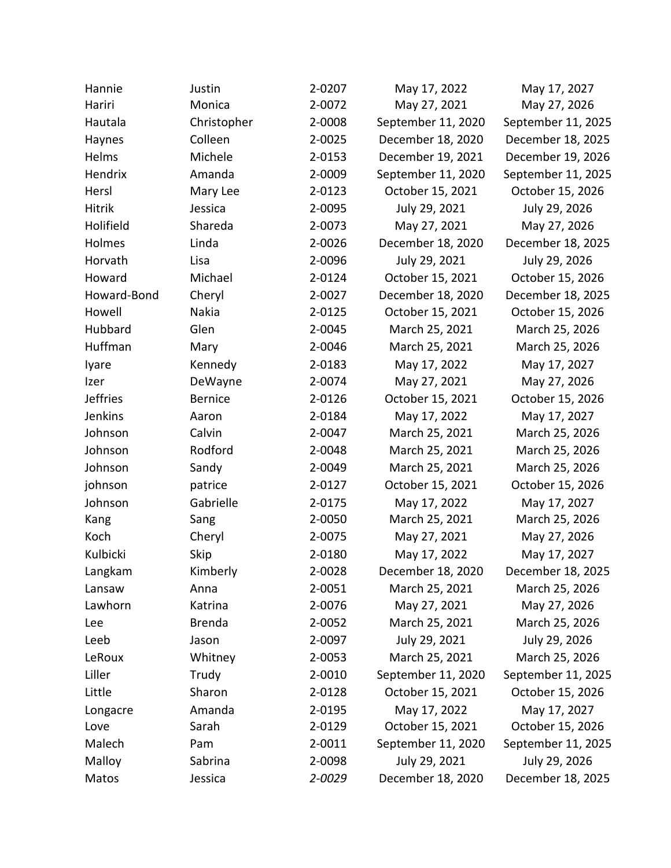| Hannie          | Justin         | 2-0207 | May 17, 2022       | May 17, 2027       |
|-----------------|----------------|--------|--------------------|--------------------|
| Hariri          | Monica         | 2-0072 | May 27, 2021       | May 27, 2026       |
| Hautala         | Christopher    | 2-0008 | September 11, 2020 | September 11, 2025 |
| Haynes          | Colleen        | 2-0025 | December 18, 2020  | December 18, 2025  |
| Helms           | Michele        | 2-0153 | December 19, 2021  | December 19, 2026  |
| Hendrix         | Amanda         | 2-0009 | September 11, 2020 | September 11, 2025 |
| Hersl           | Mary Lee       | 2-0123 | October 15, 2021   | October 15, 2026   |
| Hitrik          | Jessica        | 2-0095 | July 29, 2021      | July 29, 2026      |
| Holifield       | Shareda        | 2-0073 | May 27, 2021       | May 27, 2026       |
| Holmes          | Linda          | 2-0026 | December 18, 2020  | December 18, 2025  |
| Horvath         | Lisa           | 2-0096 | July 29, 2021      | July 29, 2026      |
| Howard          | Michael        | 2-0124 | October 15, 2021   | October 15, 2026   |
| Howard-Bond     | Cheryl         | 2-0027 | December 18, 2020  | December 18, 2025  |
| Howell          | Nakia          | 2-0125 | October 15, 2021   | October 15, 2026   |
| Hubbard         | Glen           | 2-0045 | March 25, 2021     | March 25, 2026     |
| Huffman         | Mary           | 2-0046 | March 25, 2021     | March 25, 2026     |
| lyare           | Kennedy        | 2-0183 | May 17, 2022       | May 17, 2027       |
| Izer            | DeWayne        | 2-0074 | May 27, 2021       | May 27, 2026       |
| <b>Jeffries</b> | <b>Bernice</b> | 2-0126 | October 15, 2021   | October 15, 2026   |
| Jenkins         | Aaron          | 2-0184 | May 17, 2022       | May 17, 2027       |
| Johnson         | Calvin         | 2-0047 | March 25, 2021     | March 25, 2026     |
| Johnson         | Rodford        | 2-0048 | March 25, 2021     | March 25, 2026     |
| Johnson         | Sandy          | 2-0049 | March 25, 2021     | March 25, 2026     |
| johnson         | patrice        | 2-0127 | October 15, 2021   | October 15, 2026   |
| Johnson         | Gabrielle      | 2-0175 | May 17, 2022       | May 17, 2027       |
| Kang            | Sang           | 2-0050 | March 25, 2021     | March 25, 2026     |
| Koch            | Cheryl         | 2-0075 | May 27, 2021       | May 27, 2026       |
| Kulbicki        | Skip           | 2-0180 | May 17, 2022       | May 17, 2027       |
| Langkam         | Kimberly       | 2-0028 | December 18, 2020  | December 18, 2025  |
| Lansaw          | Anna           | 2-0051 | March 25, 2021     | March 25, 2026     |
| Lawhorn         | Katrina        | 2-0076 | May 27, 2021       | May 27, 2026       |
| Lee             | <b>Brenda</b>  | 2-0052 | March 25, 2021     | March 25, 2026     |
| Leeb            | Jason          | 2-0097 | July 29, 2021      | July 29, 2026      |
| LeRoux          | Whitney        | 2-0053 | March 25, 2021     | March 25, 2026     |
| Liller          | Trudy          | 2-0010 | September 11, 2020 | September 11, 2025 |
| Little          | Sharon         | 2-0128 | October 15, 2021   | October 15, 2026   |
| Longacre        | Amanda         | 2-0195 | May 17, 2022       | May 17, 2027       |
| Love            | Sarah          | 2-0129 | October 15, 2021   | October 15, 2026   |
| Malech          | Pam            | 2-0011 | September 11, 2020 | September 11, 2025 |
| Malloy          | Sabrina        | 2-0098 | July 29, 2021      | July 29, 2026      |
| Matos           | Jessica        | 2-0029 | December 18, 2020  | December 18, 2025  |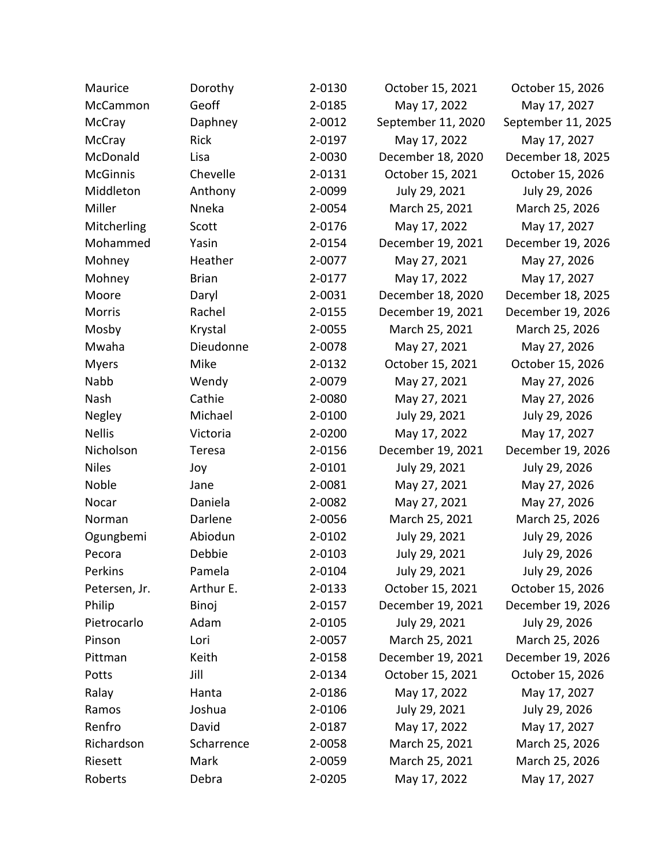| Maurice         | Dorothy      | 2-0130 | October 15, 2021   | October 15, 2026   |
|-----------------|--------------|--------|--------------------|--------------------|
| McCammon        | Geoff        | 2-0185 | May 17, 2022       | May 17, 2027       |
| McCray          | Daphney      | 2-0012 | September 11, 2020 | September 11, 2025 |
| McCray          | Rick         | 2-0197 | May 17, 2022       | May 17, 2027       |
| McDonald        | Lisa         | 2-0030 | December 18, 2020  | December 18, 2025  |
| <b>McGinnis</b> | Chevelle     | 2-0131 | October 15, 2021   | October 15, 2026   |
| Middleton       | Anthony      | 2-0099 | July 29, 2021      | July 29, 2026      |
| Miller          | Nneka        | 2-0054 | March 25, 2021     | March 25, 2026     |
| Mitcherling     | Scott        | 2-0176 | May 17, 2022       | May 17, 2027       |
| Mohammed        | Yasin        | 2-0154 | December 19, 2021  | December 19, 2026  |
| Mohney          | Heather      | 2-0077 | May 27, 2021       | May 27, 2026       |
| Mohney          | <b>Brian</b> | 2-0177 | May 17, 2022       | May 17, 2027       |
| Moore           | Daryl        | 2-0031 | December 18, 2020  | December 18, 2025  |
| <b>Morris</b>   | Rachel       | 2-0155 | December 19, 2021  | December 19, 2026  |
| Mosby           | Krystal      | 2-0055 | March 25, 2021     | March 25, 2026     |
| Mwaha           | Dieudonne    | 2-0078 | May 27, 2021       | May 27, 2026       |
| <b>Myers</b>    | Mike         | 2-0132 | October 15, 2021   | October 15, 2026   |
| Nabb            | Wendy        | 2-0079 | May 27, 2021       | May 27, 2026       |
| Nash            | Cathie       | 2-0080 | May 27, 2021       | May 27, 2026       |
| Negley          | Michael      | 2-0100 | July 29, 2021      | July 29, 2026      |
| <b>Nellis</b>   | Victoria     | 2-0200 | May 17, 2022       | May 17, 2027       |
| Nicholson       | Teresa       | 2-0156 | December 19, 2021  | December 19, 2026  |
| <b>Niles</b>    | Joy          | 2-0101 | July 29, 2021      | July 29, 2026      |
| Noble           | Jane         | 2-0081 | May 27, 2021       | May 27, 2026       |
| Nocar           | Daniela      | 2-0082 | May 27, 2021       | May 27, 2026       |
| Norman          | Darlene      | 2-0056 | March 25, 2021     | March 25, 2026     |
| Ogungbemi       | Abiodun      | 2-0102 | July 29, 2021      | July 29, 2026      |
| Pecora          | Debbie       | 2-0103 | July 29, 2021      | July 29, 2026      |
| Perkins         | Pamela       | 2-0104 | July 29, 2021      | July 29, 2026      |
| Petersen, Jr.   | Arthur E.    | 2-0133 | October 15, 2021   | October 15, 2026   |
| Philip          | Binoj        | 2-0157 | December 19, 2021  | December 19, 2026  |
| Pietrocarlo     | Adam         | 2-0105 | July 29, 2021      | July 29, 2026      |
| Pinson          | Lori         | 2-0057 | March 25, 2021     | March 25, 2026     |
| Pittman         | Keith        | 2-0158 | December 19, 2021  | December 19, 2026  |
| Potts           | Jill         | 2-0134 | October 15, 2021   | October 15, 2026   |
| Ralay           | Hanta        | 2-0186 | May 17, 2022       | May 17, 2027       |
| Ramos           | Joshua       | 2-0106 | July 29, 2021      | July 29, 2026      |
| Renfro          | David        | 2-0187 | May 17, 2022       | May 17, 2027       |
| Richardson      | Scharrence   | 2-0058 | March 25, 2021     | March 25, 2026     |
| Riesett         | Mark         | 2-0059 | March 25, 2021     | March 25, 2026     |
| Roberts         | Debra        | 2-0205 | May 17, 2022       | May 17, 2027       |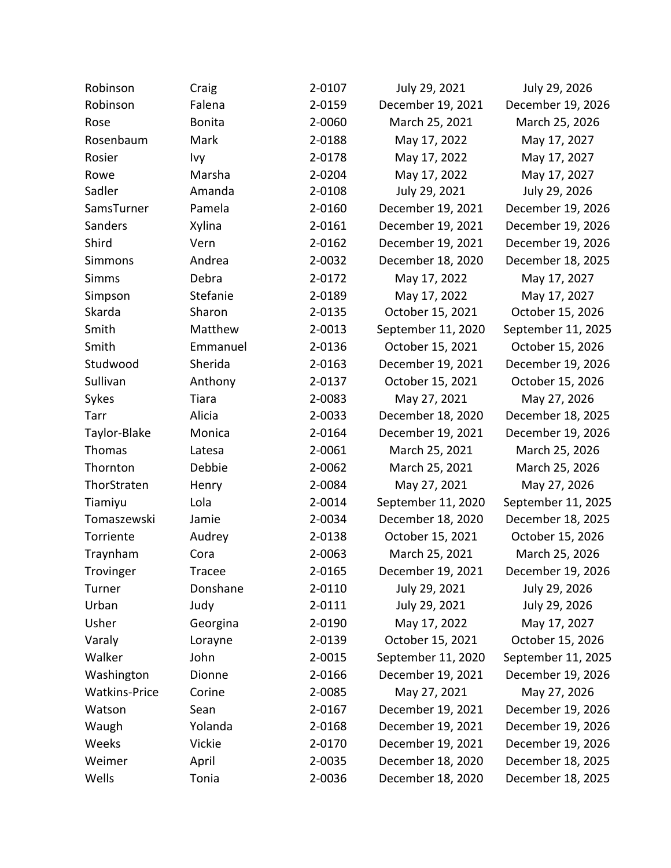| Robinson             | Craig         | 2-0107 | July 29, 2021      | July 29, 2026      |
|----------------------|---------------|--------|--------------------|--------------------|
| Robinson             | Falena        | 2-0159 | December 19, 2021  | December 19, 2026  |
| Rose                 | <b>Bonita</b> | 2-0060 | March 25, 2021     | March 25, 2026     |
| Rosenbaum            | Mark          | 2-0188 | May 17, 2022       | May 17, 2027       |
| Rosier               | Ivy           | 2-0178 | May 17, 2022       | May 17, 2027       |
| Rowe                 | Marsha        | 2-0204 | May 17, 2022       | May 17, 2027       |
| Sadler               | Amanda        | 2-0108 | July 29, 2021      | July 29, 2026      |
| SamsTurner           | Pamela        | 2-0160 | December 19, 2021  | December 19, 2026  |
| Sanders              | Xylina        | 2-0161 | December 19, 2021  | December 19, 2026  |
| Shird                | Vern          | 2-0162 | December 19, 2021  | December 19, 2026  |
| Simmons              | Andrea        | 2-0032 | December 18, 2020  | December 18, 2025  |
| <b>Simms</b>         | Debra         | 2-0172 | May 17, 2022       | May 17, 2027       |
| Simpson              | Stefanie      | 2-0189 | May 17, 2022       | May 17, 2027       |
| Skarda               | Sharon        | 2-0135 | October 15, 2021   | October 15, 2026   |
| Smith                | Matthew       | 2-0013 | September 11, 2020 | September 11, 2025 |
| Smith                | Emmanuel      | 2-0136 | October 15, 2021   | October 15, 2026   |
| Studwood             | Sherida       | 2-0163 | December 19, 2021  | December 19, 2026  |
| Sullivan             | Anthony       | 2-0137 | October 15, 2021   | October 15, 2026   |
| Sykes                | Tiara         | 2-0083 | May 27, 2021       | May 27, 2026       |
| Tarr                 | Alicia        | 2-0033 | December 18, 2020  | December 18, 2025  |
| Taylor-Blake         | Monica        | 2-0164 | December 19, 2021  | December 19, 2026  |
| Thomas               | Latesa        | 2-0061 | March 25, 2021     | March 25, 2026     |
| Thornton             | Debbie        | 2-0062 | March 25, 2021     | March 25, 2026     |
| ThorStraten          | Henry         | 2-0084 | May 27, 2021       | May 27, 2026       |
| Tiamiyu              | Lola          | 2-0014 | September 11, 2020 | September 11, 2025 |
| Tomaszewski          | Jamie         | 2-0034 | December 18, 2020  | December 18, 2025  |
| Torriente            | Audrey        | 2-0138 | October 15, 2021   | October 15, 2026   |
| Traynham             | Cora          | 2-0063 | March 25, 2021     | March 25, 2026     |
| Trovinger            | Tracee        | 2-0165 | December 19, 2021  | December 19, 2026  |
| Turner               | Donshane      | 2-0110 | July 29, 2021      | July 29, 2026      |
| Urban                | Judy          | 2-0111 | July 29, 2021      | July 29, 2026      |
| Usher                | Georgina      | 2-0190 | May 17, 2022       | May 17, 2027       |
| Varaly               | Lorayne       | 2-0139 | October 15, 2021   | October 15, 2026   |
| Walker               | John          | 2-0015 | September 11, 2020 | September 11, 2025 |
| Washington           | Dionne        | 2-0166 | December 19, 2021  | December 19, 2026  |
| <b>Watkins-Price</b> | Corine        | 2-0085 | May 27, 2021       | May 27, 2026       |
| Watson               | Sean          | 2-0167 | December 19, 2021  | December 19, 2026  |
| Waugh                | Yolanda       | 2-0168 | December 19, 2021  | December 19, 2026  |
| Weeks                | Vickie        | 2-0170 | December 19, 2021  | December 19, 2026  |
| Weimer               | April         | 2-0035 | December 18, 2020  | December 18, 2025  |
| Wells                | Tonia         | 2-0036 | December 18, 2020  | December 18, 2025  |